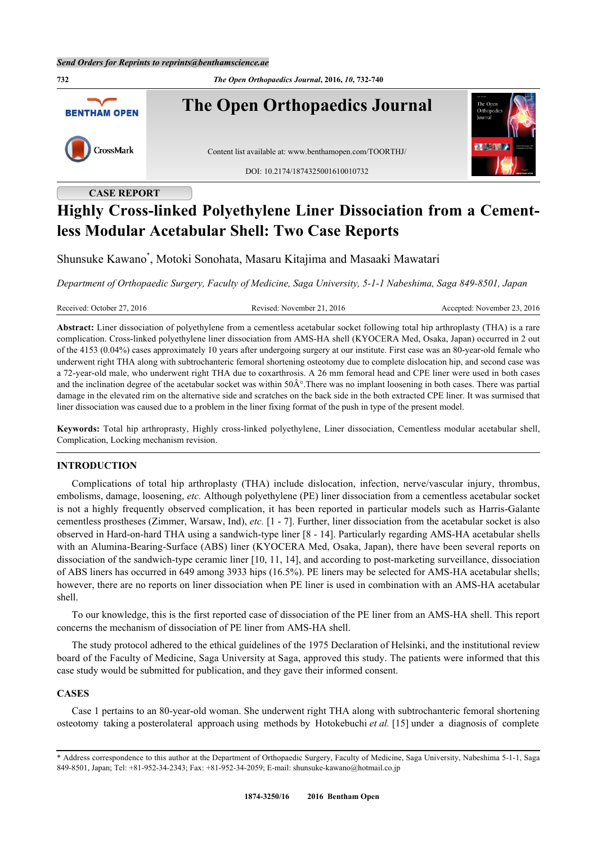**732** *The Open Orthopaedics Journal***, 2016,** *10***, 732-740 The Open Orthopaedics Journal BENTHAM OPEN** CrossMark Content list available at: [www.benthamopen.com/TOORTHJ/](http://www.benthamopen.com/TOORTHJ/) DOI: [10.2174/1874325001610010732](http://dx.doi.org/10.2174/1874325001610010732)

**CASE REPORT**

# **Highly Cross-linked Polyethylene Liner Dissociation from a Cementless Modular Acetabular Shell: Two Case Reports**

Shunsuke Kawano[\\*](#page-0-0) , Motoki Sonohata, Masaru Kitajima and Masaaki Mawatari

*Department of Orthopaedic Surgery, Faculty of Medicine, Saga University, 5-1-1 Nabeshima, Saga 849-8501, Japan*

Received: October 27, 2016 Revised: November 21, 2016 Accepted: November 23, 2016

**Abstract:** Liner dissociation of polyethylene from a cementless acetabular socket following total hip arthroplasty (THA) is a rare complication. Cross-linked polyethylene liner dissociation from AMS-HA shell (KYOCERA Med, Osaka, Japan) occurred in 2 out of the 4153 (0.04%) cases approximately 10 years after undergoing surgery at our institute. First case was an 80-year-old female who underwent right THA along with subtrochanteric femoral shortening osteotomy due to complete dislocation hip, and second case was a 72-year-old male, who underwent right THA due to coxarthrosis. A 26 mm femoral head and CPE liner were used in both cases and the inclination degree of the acetabular socket was within  $50\text{\AA}^{\circ}$ . There was no implant loosening in both cases. There was partial damage in the elevated rim on the alternative side and scratches on the back side in the both extracted CPE liner. It was surmised that liner dissociation was caused due to a problem in the liner fixing format of the push in type of the present model.

**Keywords:** Total hip arthroprasty, Highly cross-linked polyethylene, Liner dissociation, Cementless modular acetabular shell, Complication, Locking mechanism revision.

### **INTRODUCTION**

Complications of total hip arthroplasty (THA) include dislocation, infection, nerve/vascular injury, thrombus, embolisms, damage, loosening, *etc.* Although polyethylene (PE) liner dissociation from a cementless acetabular socket is not a highly frequently observed complication, it has been reported in particular models such as Harris-Galante cementless prostheses (Zimmer, Warsaw, Ind), *etc.* [1 - 7]. Further, liner dissociation from the acetabular socket is also observed in Hard-on-hard THA using a sandwich-type liner [8 - 14]. Particularly regarding AMS-HA acetabular shells with an Alumina-Bearing-Surface (ABS) liner (KYOCERA Med, Osaka, Japan), there have been several reports on dissociation of the sandwich-type ceramic liner [[10,](#page-7-0) [11](#page-7-1), [14](#page-7-2)], and according to post-marketing surveillance, dissociation of ABS liners has occurred in 649 among 3933 hips (16.5%). PE liners may be selected for AMS-HA acetabular shells; however, there are no reports on liner dissociation when PE liner is used in combination with an AMS-HA acetabular shell.

To our knowledge, this is the first reported case of dissociation of the PE liner from an AMS-HA shell. This report concerns the mechanism of dissociation of PE liner from AMS-HA shell.

The study protocol adhered to the ethical guidelines of the 1975 Declaration of Helsinki, and the institutional review board of the Faculty of Medicine, Saga University at Saga, approved this study. The patients were informed that this case study would be submitted for publication, and they gave their informed consent.

#### **CASES**

Case 1 pertains to an 80-year-old woman. She underwent right THA along with subtrochanteric femoral shortening osteotomy taking a posterolateral approach using methods by Hotokebuchi *et al.* [\[15](#page-7-3)] under a diagnosis of complete

<span id="page-0-0"></span><sup>\*</sup> Address correspondence to this author at the Department of Orthopaedic Surgery, Faculty of Medicine, Saga University, Nabeshima 5-1-1, Saga 849-8501, Japan; Tel: +81-952-34-2343; Fax: +81-952-34-2059; E-mail: [shunsuke-kawano@hotmail.co.jp](mailto:shunsuke-kawano@hotmail.co.jp)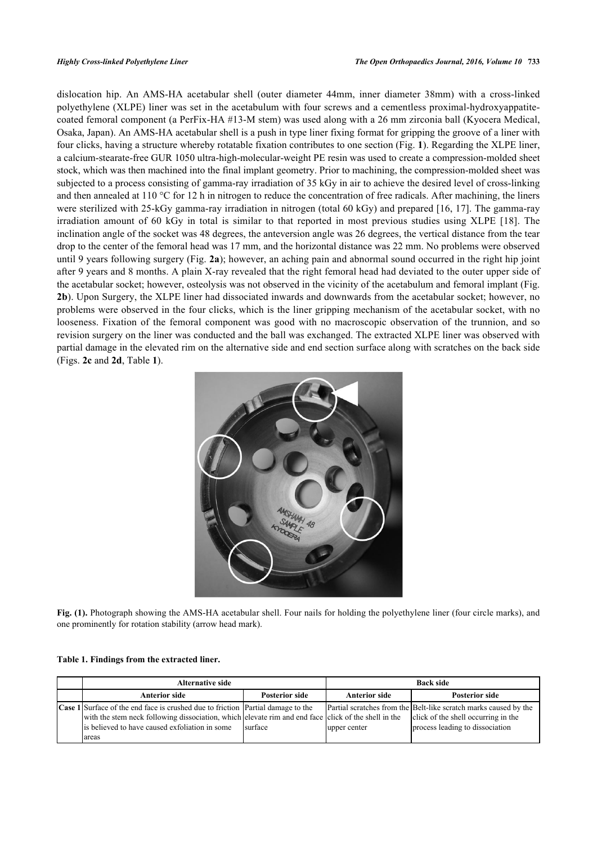dislocation hip. An AMS-HA acetabular shell (outer diameter 44mm, inner diameter 38mm) with a cross-linked polyethylene (XLPE) liner was set in the acetabulum with four screws and a cementless proximal-hydroxyappatitecoated femoral component (a PerFix-HA #13-M stem) was used along with a 26 mm zirconia ball (Kyocera Medical, Osaka, Japan). An AMS-HA acetabular shell is a push in type liner fixing format for gripping the groove of a liner with four clicks, having a structure whereby rotatable fixation contributes to one section (Fig. **[1](#page-1-0)**). Regarding the XLPE liner, a calcium-stearate-free GUR 1050 ultra-high-molecular-weight PE resin was used to create a compression-molded sheet stock, which was then machined into the final implant geometry. Prior to machining, the compression-molded sheet was subjected to a process consisting of gamma-ray irradiation of 35 kGy in air to achieve the desired level of cross-linking and then annealed at 110 °C for 12 h in nitrogen to reduce the concentration of free radicals. After machining, the liners were sterilized with 25-kGy gamma-ray irradiation in nitrogen (total 60 kGy) and prepared [[16,](#page-7-4) [17\]](#page-7-5). The gamma-ray irradiation amount of 60 kGy in total is similar to that reported in most previous studies using XLPE [\[18\]](#page-8-0). The inclination angle of the socket was 48 degrees, the anteversion angle was 26 degrees, the vertical distance from the tear drop to the center of the femoral head was 17 mm, and the horizontal distance was 22 mm. No problems were observed until 9 years following surgery (Fig. **[2a](#page-2-0)**); however, an aching pain and abnormal sound occurred in the right hip joint after 9 years and 8 months. A plain X-ray revealed that the right femoral head had deviated to the outer upper side of the acetabular socket; however, osteolysis was not observed in the vicinity of the acetabulum and femoral implant (Fig. **[2b](#page-2-1)**). Upon Surgery, the XLPE liner had dissociated inwards and downwards from the acetabular socket; however, no problems were observed in the four clicks, which is the liner gripping mechanism of the acetabular socket, with no looseness. Fixation of the femoral component was good with no macroscopic observation of the trunnion, and so revision surgery on the liner was conducted and the ball was exchanged. The extracted XLPE liner was observed with partial damage in the elevated rim on the alternative side and end section surface along with scratches on the back side (Figs. **[2c](#page-2-2)** and **[2d](#page-3-0)**, Table **[1](#page-1-1)**).

<span id="page-1-0"></span>

**Fig. (1).** Photograph showing the AMS-HA acetabular shell. Four nails for holding the polyethylene liner (four circle marks), and one prominently for rotation stability (arrow head mark).

<span id="page-1-1"></span>

|  |  | Table 1. Findings from the extracted liner. |  |
|--|--|---------------------------------------------|--|
|  |  |                                             |  |

| <b>Alternative side</b>                                                                                                                                                                                                                                          |                       | <b>Back side</b>     |                                                                                                                                            |  |
|------------------------------------------------------------------------------------------------------------------------------------------------------------------------------------------------------------------------------------------------------------------|-----------------------|----------------------|--------------------------------------------------------------------------------------------------------------------------------------------|--|
| <b>Anterior side</b>                                                                                                                                                                                                                                             | <b>Posterior side</b> | <b>Anterior side</b> | <b>Posterior side</b>                                                                                                                      |  |
| <b>Case 1</b> Surface of the end face is crushed due to friction <b>Partial</b> damage to the<br>with the stem neck following dissociation, which elevate rim and end face click of the shell in the<br>is believed to have caused exfoliation in some<br>lareas | surface               | upper center         | Partial scratches from the Belt-like scratch marks caused by the<br>click of the shell occurring in the<br>process leading to dissociation |  |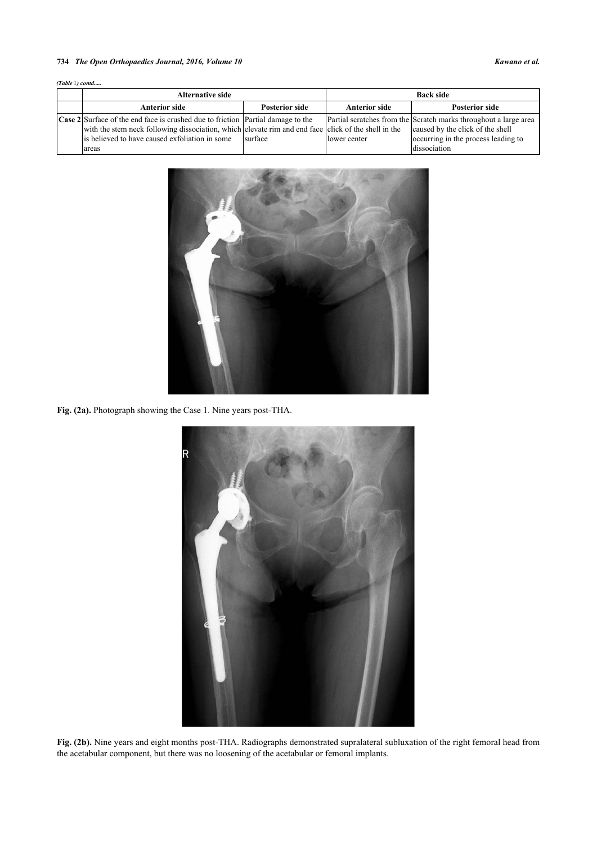#### **734** *The Open Orthopaedics Journal, 2016, Volume 10 Kawano et al.*

| (Table 3) contd |  |
|-----------------|--|
|-----------------|--|

<span id="page-2-0"></span>

| <b>Alternative side</b>                                                                             |                       | <b>Back side</b>     |                                                                  |  |
|-----------------------------------------------------------------------------------------------------|-----------------------|----------------------|------------------------------------------------------------------|--|
| <b>Anterior side</b>                                                                                | <b>Posterior side</b> | <b>Anterior side</b> | <b>Posterior side</b>                                            |  |
| <b>Case 2</b> Surface of the end face is crushed due to friction <b>Partial</b> damage to the       |                       |                      | Partial scratches from the Scratch marks throughout a large area |  |
| with the stem neck following dissociation, which elevate rim and end face click of the shell in the |                       |                      | caused by the click of the shell                                 |  |
| is believed to have caused exfoliation in some                                                      | surface               | lower center         | occurring in the process leading to                              |  |
| lareas                                                                                              |                       |                      | dissociation                                                     |  |



<span id="page-2-1"></span>**Fig. (2a).** Photograph showing the Case 1. Nine years post-THA.



<span id="page-2-2"></span>**Fig. (2b).** Nine years and eight months post-THA. Radiographs demonstrated supralateral subluxation of the right femoral head from the acetabular component, but there was no loosening of the acetabular or femoral implants.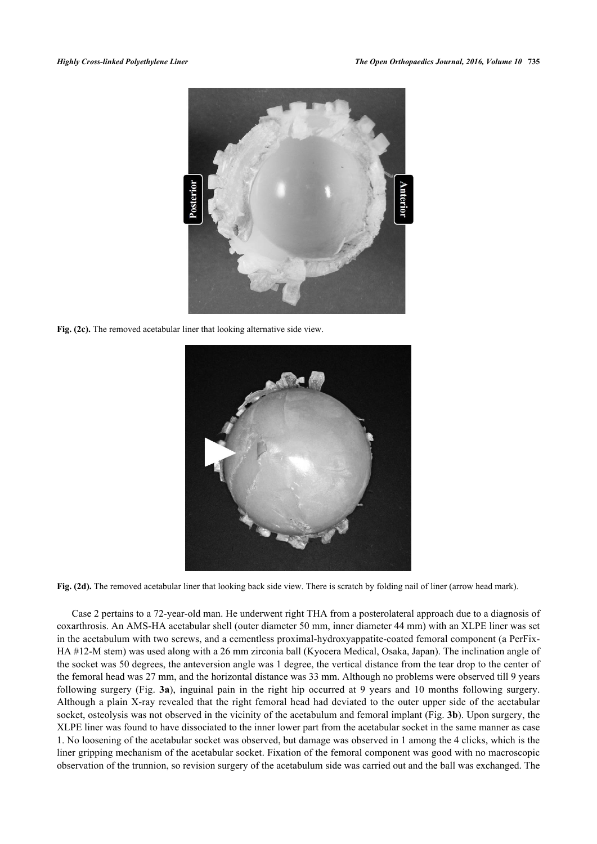

**Fig. (2c).** The removed acetabular liner that looking alternative side view.

<span id="page-3-0"></span>

**Fig. (2d).** The removed acetabular liner that looking back side view. There is scratch by folding nail of liner (arrow head mark).

Case 2 pertains to a 72-year-old man. He underwent right THA from a posterolateral approach due to a diagnosis of coxarthrosis. An AMS-HA acetabular shell (outer diameter 50 mm, inner diameter 44 mm) with an XLPE liner was set in the acetabulum with two screws, and a cementless proximal-hydroxyappatite-coated femoral component (a PerFix-HA #12-M stem) was used along with a 26 mm zirconia ball (Kyocera Medical, Osaka, Japan). The inclination angle of the socket was 50 degrees, the anteversion angle was 1 degree, the vertical distance from the tear drop to the center of the femoral head was 27 mm, and the horizontal distance was 33 mm. Although no problems were observed till 9 years following surgery (Fig. **[3a](#page-4-0)**), inguinal pain in the right hip occurred at 9 years and 10 months following surgery. Although a plain X-ray revealed that the right femoral head had deviated to the outer upper side of the acetabular socket, osteolysis was not observed in the vicinity of the acetabulum and femoral implant (Fig. **[3b](#page-4-1)**). Upon surgery, the XLPE liner was found to have dissociated to the inner lower part from the acetabular socket in the same manner as case 1. No loosening of the acetabular socket was observed, but damage was observed in 1 among the 4 clicks, which is the liner gripping mechanism of the acetabular socket. Fixation of the femoral component was good with no macroscopic observation of the trunnion, so revision surgery of the acetabulum side was carried out and the ball was exchanged. The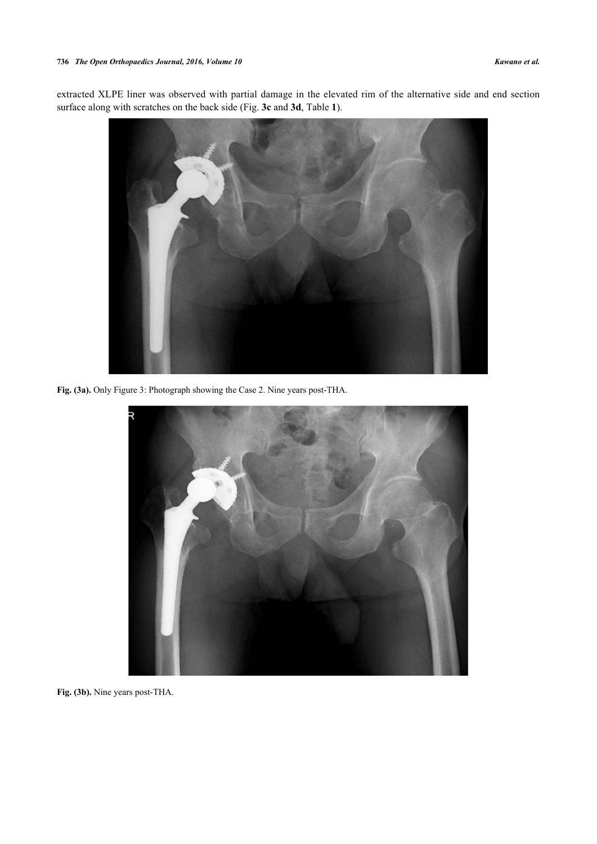extracted XLPE liner was observed with partial damage in the elevated rim of the alternative side and end section surface along with scratches on the back side (Fig. **[3c](#page-4-2)** and **[3d](#page-5-0)**, Table **[1](#page-1-1)**).

<span id="page-4-0"></span>

**Fig. (3a).** Only Figure 3: Photograph showing the Case 2. Nine years post-THA.

<span id="page-4-1"></span>

<span id="page-4-2"></span>**Fig. (3b).** Nine years post-THA.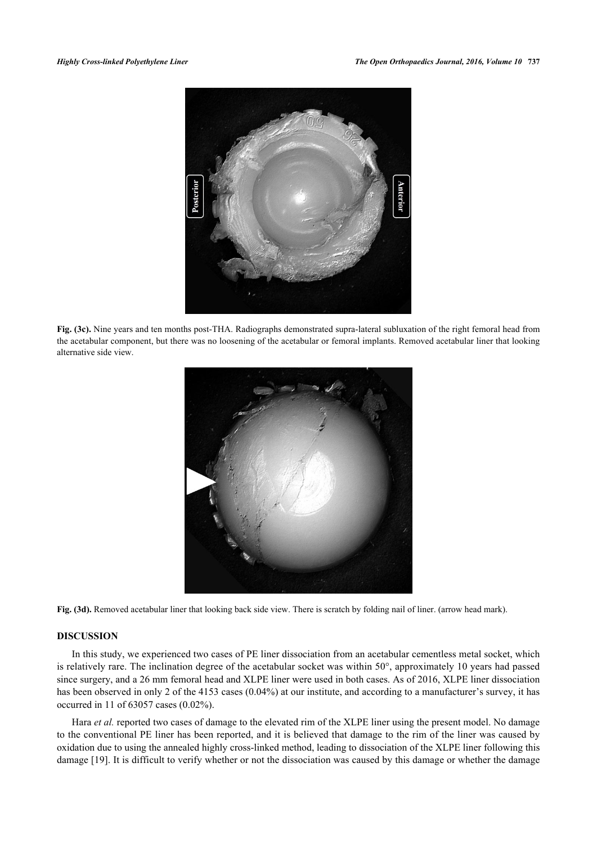

<span id="page-5-0"></span>**Fig. (3c).** Nine years and ten months post-THA. Radiographs demonstrated supra-lateral subluxation of the right femoral head from the acetabular component, but there was no loosening of the acetabular or femoral implants. Removed acetabular liner that looking alternative side view.



**Fig. (3d).** Removed acetabular liner that looking back side view. There is scratch by folding nail of liner. (arrow head mark).

### **DISCUSSION**

In this study, we experienced two cases of PE liner dissociation from an acetabular cementless metal socket, which is relatively rare. The inclination degree of the acetabular socket was within 50°, approximately 10 years had passed since surgery, and a 26 mm femoral head and XLPE liner were used in both cases. As of 2016, XLPE liner dissociation has been observed in only 2 of the 4153 cases (0.04%) at our institute, and according to a manufacturer's survey, it has occurred in 11 of 63057 cases (0.02%).

Hara *et al.* reported two cases of damage to the elevated rim of the XLPE liner using the present model. No damage to the conventional PE liner has been reported, and it is believed that damage to the rim of the liner was caused by oxidation due to using the annealed highly cross-linked method, leading to dissociation of the XLPE liner following this damage [\[19](#page-8-1)]. It is difficult to verify whether or not the dissociation was caused by this damage or whether the damage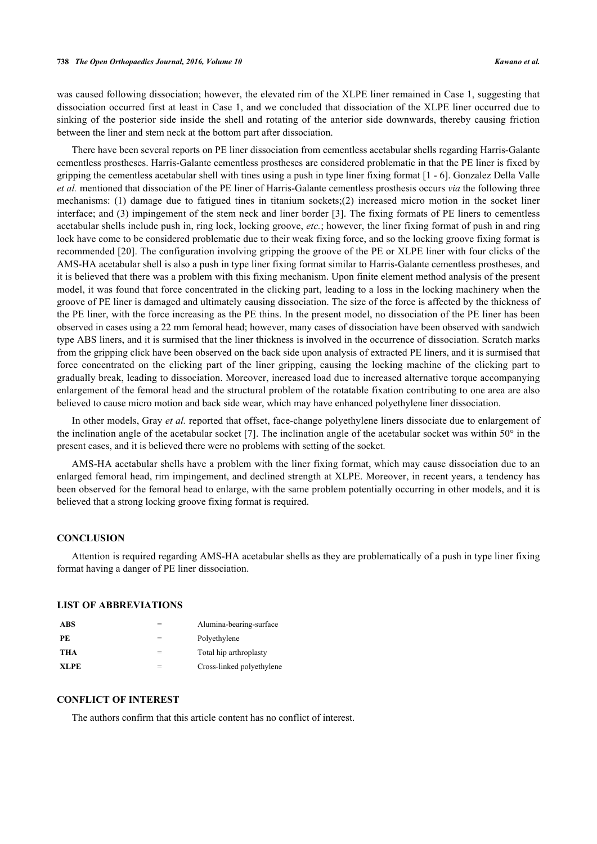was caused following dissociation; however, the elevated rim of the XLPE liner remained in Case 1, suggesting that dissociation occurred first at least in Case 1, and we concluded that dissociation of the XLPE liner occurred due to sinking of the posterior side inside the shell and rotating of the anterior side downwards, thereby causing friction between the liner and stem neck at the bottom part after dissociation.

There have been several reports on PE liner dissociation from cementless acetabular shells regarding Harris-Galante cementless prostheses. Harris-Galante cementless prostheses are considered problematic in that the PE liner is fixed by gripping the cementless acetabular shell with tines using a push in type liner fixing format [1 - 6]. Gonzalez Della Valle *et al.* mentioned that dissociation of the PE liner of Harris-Galante cementless prosthesis occurs *via* the following three mechanisms: (1) damage due to fatigued tines in titanium sockets;(2) increased micro motion in the socket liner interface; and (3) impingement of the stem neck and liner border [\[3](#page-7-6)]. The fixing formats of PE liners to cementless acetabular shells include push in, ring lock, locking groove, *etc.*; however, the liner fixing format of push in and ring lock have come to be considered problematic due to their weak fixing force, and so the locking groove fixing format is recommended [[20](#page-8-2)]. The configuration involving gripping the groove of the PE or XLPE liner with four clicks of the AMS-HA acetabular shell is also a push in type liner fixing format similar to Harris-Galante cementless prostheses, and it is believed that there was a problem with this fixing mechanism. Upon finite element method analysis of the present model, it was found that force concentrated in the clicking part, leading to a loss in the locking machinery when the groove of PE liner is damaged and ultimately causing dissociation. The size of the force is affected by the thickness of the PE liner, with the force increasing as the PE thins. In the present model, no dissociation of the PE liner has been observed in cases using a 22 mm femoral head; however, many cases of dissociation have been observed with sandwich type ABS liners, and it is surmised that the liner thickness is involved in the occurrence of dissociation. Scratch marks from the gripping click have been observed on the back side upon analysis of extracted PE liners, and it is surmised that force concentrated on the clicking part of the liner gripping, causing the locking machine of the clicking part to gradually break, leading to dissociation. Moreover, increased load due to increased alternative torque accompanying enlargement of the femoral head and the structural problem of the rotatable fixation contributing to one area are also believed to cause micro motion and back side wear, which may have enhanced polyethylene liner dissociation.

In other models, Gray *et al.* reported that offset, face-change polyethylene liners dissociate due to enlargement of the inclination angle of the acetabular socket [[7](#page-7-7)]. The inclination angle of the acetabular socket was within 50° in the present cases, and it is believed there were no problems with setting of the socket.

AMS-HA acetabular shells have a problem with the liner fixing format, which may cause dissociation due to an enlarged femoral head, rim impingement, and declined strength at XLPE. Moreover, in recent years, a tendency has been observed for the femoral head to enlarge, with the same problem potentially occurring in other models, and it is believed that a strong locking groove fixing format is required.

### **CONCLUSION**

Attention is required regarding AMS-HA acetabular shells as they are problematically of a push in type liner fixing format having a danger of PE liner dissociation.

### **LIST OF ABBREVIATIONS**

| ABS         | Alumina-bearing-surface   |
|-------------|---------------------------|
| PE          | Polyethylene              |
| THA         | Total hip arthroplasty    |
| <b>XLPE</b> | Cross-linked polyethylene |

## **CONFLICT OF INTEREST**

The authors confirm that this article content has no conflict of interest.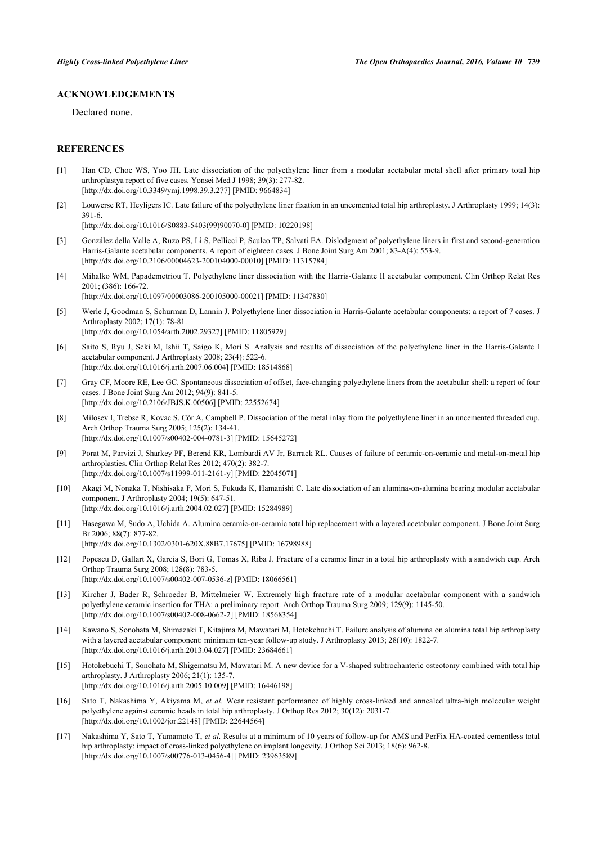## **ACKNOWLEDGEMENTS**

Declared none.

### **REFERENCES**

- [1] Han CD, Choe WS, Yoo JH. Late dissociation of the polyethylene liner from a modular acetabular metal shell after primary total hip arthroplastya report of five cases. Yonsei Med J 1998; 39(3): 277-82. [\[http://dx.doi.org/10.3349/ymj.1998.39.3.277](http://dx.doi.org/10.3349/ymj.1998.39.3.277)] [PMID: [9664834\]](http://www.ncbi.nlm.nih.gov/pubmed/9664834)
- [2] Louwerse RT, Heyligers IC. Late failure of the polyethylene liner fixation in an uncemented total hip arthroplasty. J Arthroplasty 1999; 14(3): 391-6.

[\[http://dx.doi.org/10.1016/S0883-5403\(99\)90070-0\]](http://dx.doi.org/10.1016/S0883-5403(99)90070-0) [PMID: [10220198](http://www.ncbi.nlm.nih.gov/pubmed/10220198)]

- <span id="page-7-6"></span>[3] González della Valle A, Ruzo PS, Li S, Pellicci P, Sculco TP, Salvati EA. Dislodgment of polyethylene liners in first and second-generation Harris-Galante acetabular components. A report of eighteen cases. J Bone Joint Surg Am 2001; 83-A(4): 553-9. [\[http://dx.doi.org/10.2106/00004623-200104000-00010](http://dx.doi.org/10.2106/00004623-200104000-00010)] [PMID: [11315784\]](http://www.ncbi.nlm.nih.gov/pubmed/11315784)
- [4] Mihalko WM, Papademetriou T. Polyethylene liner dissociation with the Harris-Galante II acetabular component. Clin Orthop Relat Res 2001; (386): 166-72. [\[http://dx.doi.org/10.1097/00003086-200105000-00021](http://dx.doi.org/10.1097/00003086-200105000-00021)] [PMID: [11347830\]](http://www.ncbi.nlm.nih.gov/pubmed/11347830)
- [5] Werle J, Goodman S, Schurman D, Lannin J. Polyethylene liner dissociation in Harris-Galante acetabular components: a report of 7 cases. J Arthroplasty 2002; 17(1): 78-81. [\[http://dx.doi.org/10.1054/arth.2002.29327](http://dx.doi.org/10.1054/arth.2002.29327)] [PMID: [11805929\]](http://www.ncbi.nlm.nih.gov/pubmed/11805929)
- [6] Saito S, Ryu J, Seki M, Ishii T, Saigo K, Mori S. Analysis and results of dissociation of the polyethylene liner in the Harris-Galante I acetabular component. J Arthroplasty 2008; 23(4): 522-6. [\[http://dx.doi.org/10.1016/j.arth.2007.06.004](http://dx.doi.org/10.1016/j.arth.2007.06.004)] [PMID: [18514868](http://www.ncbi.nlm.nih.gov/pubmed/18514868)]
- <span id="page-7-7"></span>[7] Gray CF, Moore RE, Lee GC. Spontaneous dissociation of offset, face-changing polyethylene liners from the acetabular shell: a report of four cases. J Bone Joint Surg Am 2012; 94(9): 841-5. [\[http://dx.doi.org/10.2106/JBJS.K.00506\]](http://dx.doi.org/10.2106/JBJS.K.00506) [PMID: [22552674](http://www.ncbi.nlm.nih.gov/pubmed/22552674)]
- [8] Milosev I, Trebse R, Kovac S, Cör A, Campbell P. Dissociation of the metal inlay from the polyethylene liner in an uncemented threaded cup. Arch Orthop Trauma Surg 2005; 125(2): 134-41. [\[http://dx.doi.org/10.1007/s00402-004-0781-3\]](http://dx.doi.org/10.1007/s00402-004-0781-3) [PMID: [15645272](http://www.ncbi.nlm.nih.gov/pubmed/15645272)]
- [9] Porat M, Parvizi J, Sharkey PF, Berend KR, Lombardi AV Jr, Barrack RL. Causes of failure of ceramic-on-ceramic and metal-on-metal hip arthroplasties. Clin Orthop Relat Res 2012; 470(2): 382-7. [\[http://dx.doi.org/10.1007/s11999-011-2161-y\]](http://dx.doi.org/10.1007/s11999-011-2161-y) [PMID: [22045071](http://www.ncbi.nlm.nih.gov/pubmed/22045071)]
- <span id="page-7-0"></span>[10] Akagi M, Nonaka T, Nishisaka F, Mori S, Fukuda K, Hamanishi C. Late dissociation of an alumina-on-alumina bearing modular acetabular component. J Arthroplasty 2004; 19(5): 647-51. [\[http://dx.doi.org/10.1016/j.arth.2004.02.027](http://dx.doi.org/10.1016/j.arth.2004.02.027)] [PMID: [15284989](http://www.ncbi.nlm.nih.gov/pubmed/15284989)]
- <span id="page-7-1"></span>[11] Hasegawa M, Sudo A, Uchida A. Alumina ceramic-on-ceramic total hip replacement with a layered acetabular component. J Bone Joint Surg Br 2006; 88(7): 877-82. [\[http://dx.doi.org/10.1302/0301-620X.88B7.17675\]](http://dx.doi.org/10.1302/0301-620X.88B7.17675) [PMID: [16798988](http://www.ncbi.nlm.nih.gov/pubmed/16798988)]
- [12] Popescu D, Gallart X, Garcia S, Bori G, Tomas X, Riba J. Fracture of a ceramic liner in a total hip arthroplasty with a sandwich cup. Arch Orthop Trauma Surg 2008; 128(8): 783-5. [\[http://dx.doi.org/10.1007/s00402-007-0536-z](http://dx.doi.org/10.1007/s00402-007-0536-z)] [PMID: [18066561](http://www.ncbi.nlm.nih.gov/pubmed/18066561)]
- [13] Kircher J, Bader R, Schroeder B, Mittelmeier W. Extremely high fracture rate of a modular acetabular component with a sandwich polyethylene ceramic insertion for THA: a preliminary report. Arch Orthop Trauma Surg 2009; 129(9): 1145-50. [\[http://dx.doi.org/10.1007/s00402-008-0662-2\]](http://dx.doi.org/10.1007/s00402-008-0662-2) [PMID: [18568354](http://www.ncbi.nlm.nih.gov/pubmed/18568354)]
- <span id="page-7-2"></span>[14] Kawano S, Sonohata M, Shimazaki T, Kitajima M, Mawatari M, Hotokebuchi T. Failure analysis of alumina on alumina total hip arthroplasty with a layered acetabular component: minimum ten-year follow-up study. J Arthroplasty 2013; 28(10): 1822-7. [\[http://dx.doi.org/10.1016/j.arth.2013.04.027](http://dx.doi.org/10.1016/j.arth.2013.04.027)] [PMID: [23684661](http://www.ncbi.nlm.nih.gov/pubmed/23684661)]
- <span id="page-7-3"></span>[15] Hotokebuchi T, Sonohata M, Shigematsu M, Mawatari M. A new device for a V-shaped subtrochanteric osteotomy combined with total hip arthroplasty. J Arthroplasty 2006; 21(1): 135-7. [\[http://dx.doi.org/10.1016/j.arth.2005.10.009](http://dx.doi.org/10.1016/j.arth.2005.10.009)] [PMID: [16446198](http://www.ncbi.nlm.nih.gov/pubmed/16446198)]
- <span id="page-7-4"></span>[16] Sato T, Nakashima Y, Akiyama M, *et al.* Wear resistant performance of highly cross-linked and annealed ultra-high molecular weight polyethylene against ceramic heads in total hip arthroplasty. J Orthop Res 2012; 30(12): 2031-7. [\[http://dx.doi.org/10.1002/jor.22148\]](http://dx.doi.org/10.1002/jor.22148) [PMID: [22644564](http://www.ncbi.nlm.nih.gov/pubmed/22644564)]
- <span id="page-7-5"></span>[17] Nakashima Y, Sato T, Yamamoto T, *et al.* Results at a minimum of 10 years of follow-up for AMS and PerFix HA-coated cementless total hip arthroplasty: impact of cross-linked polyethylene on implant longevity. J Orthop Sci 2013; 18(6): 962-8. [\[http://dx.doi.org/10.1007/s00776-013-0456-4\]](http://dx.doi.org/10.1007/s00776-013-0456-4) [PMID: [23963589](http://www.ncbi.nlm.nih.gov/pubmed/23963589)]